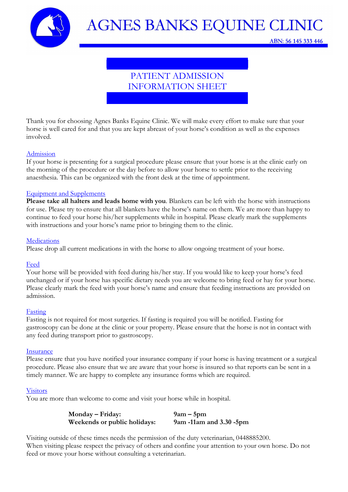

ABN: 56 145 333 446

## PATIENT ADMISSION INFORMATION SHEET

Thank you for choosing Agnes Banks Equine Clinic. We will make every effort to make sure that your horse is well cared for and that you are kept abreast of your horse's condition as well as the expenses involved.

#### Admission

If your horse is presenting for a surgical procedure please ensure that your horse is at the clinic early on the morning of the procedure or the day before to allow your horse to settle prior to the receiving anaesthesia. This can be organized with the front desk at the time of appointment.

### Equipment and Supplements

Please take all halters and leads home with you. Blankets can be left with the horse with instructions for use. Please try to ensure that all blankets have the horse's name on them. We are more than happy to continue to feed your horse his/her supplements while in hospital. Please clearly mark the supplements with instructions and your horse's name prior to bringing them to the clinic.

#### **Medications**

Please drop all current medications in with the horse to allow ongoing treatment of your horse.

#### Feed

Your horse will be provided with feed during his/her stay. If you would like to keep your horse's feed unchanged or if your horse has specific dietary needs you are welcome to bring feed or hay for your horse. Please clearly mark the feed with your horse's name and ensure that feeding instructions are provided on admission.

#### Fasting

Fasting is not required for most surgeries. If fasting is required you will be notified. Fasting for gastroscopy can be done at the clinic or your property. Please ensure that the horse is not in contact with any feed during transport prior to gastroscopy.

#### Insurance

Please ensure that you have notified your insurance company if your horse is having treatment or a surgical procedure. Please also ensure that we are aware that your horse is insured so that reports can be sent in a timely manner. We are happy to complete any insurance forms which are required.

#### Visitors

You are more than welcome to come and visit your horse while in hospital.

| Monday – Friday:             | $9am - 5pm$               |
|------------------------------|---------------------------|
| Weekends or public holidays: | 9am -11am and $3.30$ -5pm |

Visiting outside of these times needs the permission of the duty veterinarian, 0448885200. When visiting please respect the privacy of others and confine your attention to your own horse. Do not feed or move your horse without consulting a veterinarian.